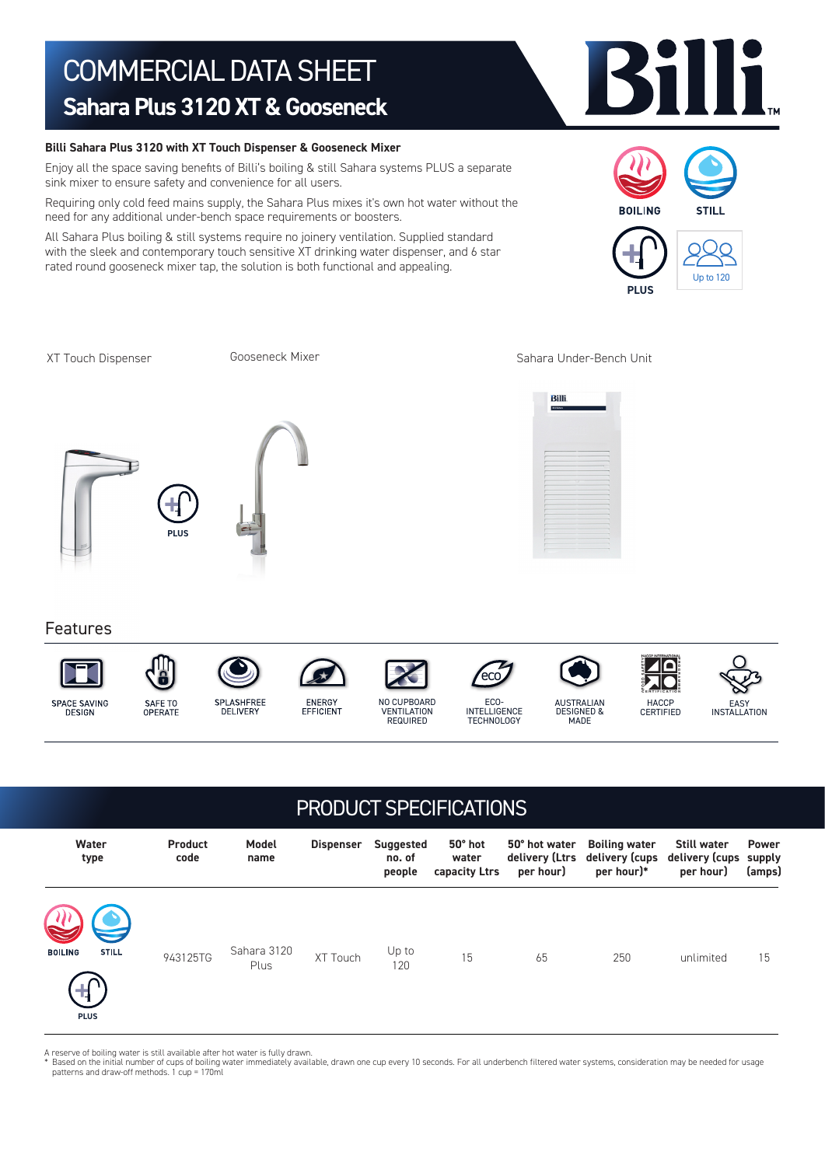## COMMERCIAL DATA SHEET **Sahara Plus 3120 XT & Gooseneck**

### **Billi Sahara Plus 3120 with XT Touch Dispenser & Gooseneck Mixer**

Enjoy all the space saving benefits of Billi's boiling & still Sahara systems PLUS a separate sink mixer to ensure safety and convenience for all users.

Requiring only cold feed mains supply, the Sahara Plus mixes it's own hot water without the need for any additional under-bench space requirements or boosters.

All Sahara Plus boiling & still systems require no joinery ventilation. Supplied standard with the sleek and contemporary touch sensitive XT drinking water dispenser, and 6 star rated round gooseneck mixer tap, the solution is both functional and appealing.

Gooseneck Mixer

XT Touch Dispenser Sooseneck Mixer Sahara Under-Bench Unit

Features





**PLUS**







ECO-INTELLIGENCE **TECHNOLOGY** 

ecc<sup>2</sup>

AUSTRALIAN DESIGNED & **MADE** 

HACCP CERTIFIED

# EASY INSTALLATION

| <b>PRODUCT SPECIFICATIONS</b>                 |                        |                     |                  |                                      |                                   |                                              |                                                      |                                                   |                                  |
|-----------------------------------------------|------------------------|---------------------|------------------|--------------------------------------|-----------------------------------|----------------------------------------------|------------------------------------------------------|---------------------------------------------------|----------------------------------|
| Water<br>type                                 | <b>Product</b><br>code | Model<br>name       | <b>Dispenser</b> | <b>Suggested</b><br>no. of<br>people | 50° hot<br>water<br>capacity Ltrs | 50° hot water<br>delivery (Ltrs<br>per hour) | <b>Boiling water</b><br>delivery (cups<br>per hour)* | <b>Still water</b><br>delivery (cups<br>per hour) | <b>Power</b><br>supply<br>(amps) |
| <b>STILL</b><br><b>BOILING</b><br><b>PLUS</b> | 943125TG               | Sahara 3120<br>Plus | XT Touch         | Up to<br>120                         | 15                                | 65                                           | 250                                                  | unlimited                                         | 15                               |

A reserve of boiling water is still available after hot water is fully drawn.

Based on the initial number of cups of boiling water immediately available, drawn one cup every 10 seconds. For all underbench filtered water systems, consideration may be needed for usage patterns and draw-off methods. 1 cup = 170ml





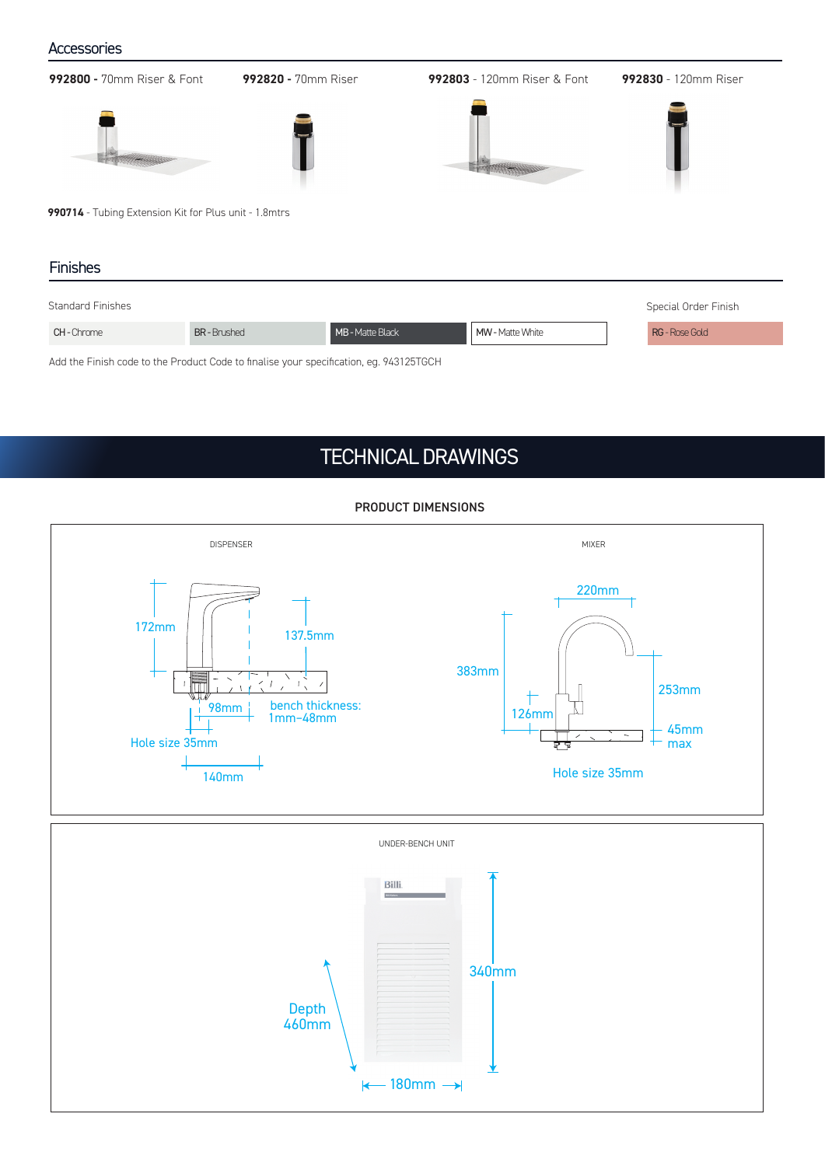### **Accessories**

Add the Finish code to the Product Code to finalise your specification, eg. 943125TGCH **992800 -** 70mm Riser & Font **992820 -** 70mm Riser **992803** - 120mm Riser & Font **992830** - 120mm Riser **990714** - Tubing Extension Kit for Plus unit - 1.8mtrs Finishes Standard Finishes Special Order Finish CH - Chrome BR - Brushed MB - Matte Black MW - Matte White RG - Rose Gold

### TECHNICAL DRAWINGS



### PRODUCT DIMENSIONS